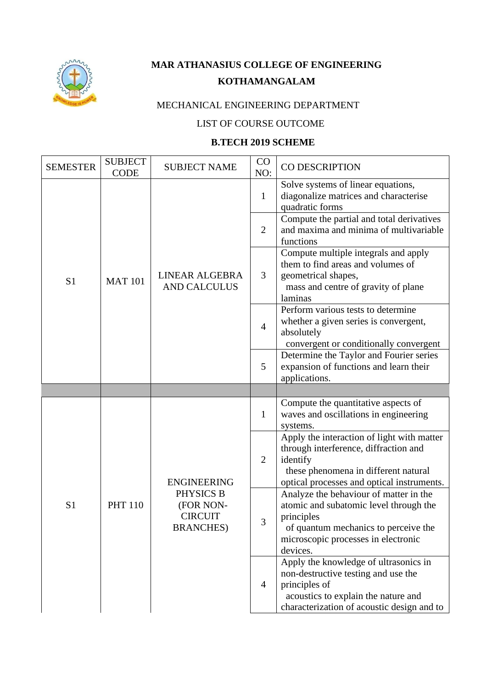

## **MAR ATHANASIUS COLLEGE OF ENGINEERING KOTHAMANGALAM**

## MECHANICAL ENGINEERING DEPARTMENT

## LIST OF COURSE OUTCOME

## **B.TECH 2019 SCHEME**

| <b>SEMESTER</b> | <b>SUBJECT</b><br><b>CODE</b> | <b>SUBJECT NAME</b>                                                                 | CO<br>NO:      | CO DESCRIPTION                                                                                                                                                                            |
|-----------------|-------------------------------|-------------------------------------------------------------------------------------|----------------|-------------------------------------------------------------------------------------------------------------------------------------------------------------------------------------------|
|                 |                               |                                                                                     | $\mathbf{1}$   | Solve systems of linear equations,<br>diagonalize matrices and characterise<br>quadratic forms                                                                                            |
|                 |                               |                                                                                     | $\overline{2}$ | Compute the partial and total derivatives<br>and maxima and minima of multivariable<br>functions                                                                                          |
| S <sub>1</sub>  | <b>MAT 101</b>                | LINEAR ALGEBRA<br><b>AND CALCULUS</b>                                               | 3              | Compute multiple integrals and apply<br>them to find areas and volumes of<br>geometrical shapes,<br>mass and centre of gravity of plane<br>laminas                                        |
|                 |                               |                                                                                     | $\overline{4}$ | Perform various tests to determine<br>whether a given series is convergent,<br>absolutely<br>convergent or conditionally convergent                                                       |
|                 |                               |                                                                                     | 5              | Determine the Taylor and Fourier series<br>expansion of functions and learn their<br>applications.                                                                                        |
|                 |                               |                                                                                     |                |                                                                                                                                                                                           |
| S <sub>1</sub>  | <b>PHT 110</b>                | <b>ENGINEERING</b><br>PHYSICS B<br>(FOR NON-<br><b>CIRCUIT</b><br><b>BRANCHES</b> ) | $\mathbf{1}$   | Compute the quantitative aspects of<br>waves and oscillations in engineering<br>systems.                                                                                                  |
|                 |                               |                                                                                     | $\overline{2}$ | Apply the interaction of light with matter<br>through interference, diffraction and<br>identify<br>these phenomena in different natural<br>optical processes and optical instruments.     |
|                 |                               |                                                                                     | 3              | Analyze the behaviour of matter in the<br>atomic and subatomic level through the<br>principles<br>of quantum mechanics to perceive the<br>microscopic processes in electronic<br>devices. |
|                 |                               |                                                                                     | 4              | Apply the knowledge of ultrasonics in<br>non-destructive testing and use the<br>principles of<br>acoustics to explain the nature and<br>characterization of acoustic design and to        |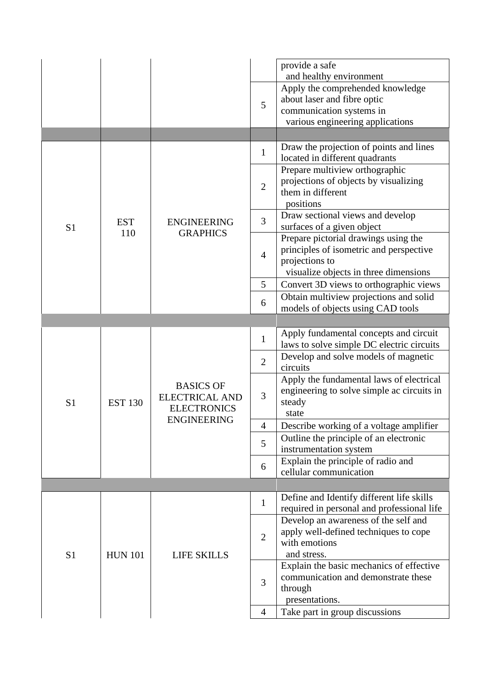|                |                |                                                                                       |                | provide a safe<br>and healthy environment                                                                                       |
|----------------|----------------|---------------------------------------------------------------------------------------|----------------|---------------------------------------------------------------------------------------------------------------------------------|
|                |                |                                                                                       | 5              | Apply the comprehended knowledge<br>about laser and fibre optic<br>communication systems in<br>various engineering applications |
|                |                |                                                                                       |                |                                                                                                                                 |
|                |                |                                                                                       | $\mathbf{1}$   | Draw the projection of points and lines<br>located in different quadrants                                                       |
|                |                |                                                                                       | $\overline{2}$ | Prepare multiview orthographic<br>projections of objects by visualizing<br>them in different<br>positions                       |
| S <sub>1</sub> | <b>EST</b>     | <b>ENGINEERING</b>                                                                    | 3              | Draw sectional views and develop<br>surfaces of a given object                                                                  |
|                | 110            | <b>GRAPHICS</b>                                                                       | $\overline{4}$ | Prepare pictorial drawings using the<br>principles of isometric and perspective<br>projections to                               |
|                |                |                                                                                       |                | visualize objects in three dimensions                                                                                           |
|                |                |                                                                                       | 5<br>6         | Convert 3D views to orthographic views<br>Obtain multiview projections and solid                                                |
|                |                |                                                                                       |                | models of objects using CAD tools                                                                                               |
|                |                |                                                                                       |                |                                                                                                                                 |
|                | <b>EST 130</b> |                                                                                       | $\mathbf{1}$   | Apply fundamental concepts and circuit<br>laws to solve simple DC electric circuits                                             |
|                |                |                                                                                       | $\overline{2}$ | Develop and solve models of magnetic                                                                                            |
|                |                |                                                                                       |                | circuits                                                                                                                        |
|                |                |                                                                                       | 3              | Apply the fundamental laws of electrical                                                                                        |
|                |                | <b>BASICS OF</b><br><b>ELECTRICAL AND</b><br><b>ELECTRONICS</b><br><b>ENGINEERING</b> |                | engineering to solve simple ac circuits in                                                                                      |
| S <sub>1</sub> |                |                                                                                       |                | steady                                                                                                                          |
|                |                |                                                                                       |                | state                                                                                                                           |
|                |                |                                                                                       | $\overline{4}$ | Describe working of a voltage amplifier<br>Outline the principle of an electronic                                               |
|                |                |                                                                                       | 5              | instrumentation system                                                                                                          |
|                |                |                                                                                       |                | Explain the principle of radio and                                                                                              |
|                |                |                                                                                       | 6              | cellular communication                                                                                                          |
|                |                |                                                                                       |                |                                                                                                                                 |
|                |                |                                                                                       | $\mathbf{1}$   | Define and Identify different life skills                                                                                       |
|                |                |                                                                                       |                | required in personal and professional life                                                                                      |
|                |                |                                                                                       |                | Develop an awareness of the self and                                                                                            |
|                |                |                                                                                       | $\overline{2}$ | apply well-defined techniques to cope<br>with emotions                                                                          |
| S <sub>1</sub> | <b>HUN 101</b> | <b>LIFE SKILLS</b>                                                                    |                | and stress.                                                                                                                     |
|                |                |                                                                                       |                | Explain the basic mechanics of effective                                                                                        |
|                |                |                                                                                       | 3              | communication and demonstrate these                                                                                             |
|                |                |                                                                                       |                | through                                                                                                                         |
|                |                |                                                                                       |                | presentations.                                                                                                                  |
|                |                |                                                                                       | $\overline{4}$ | Take part in group discussions                                                                                                  |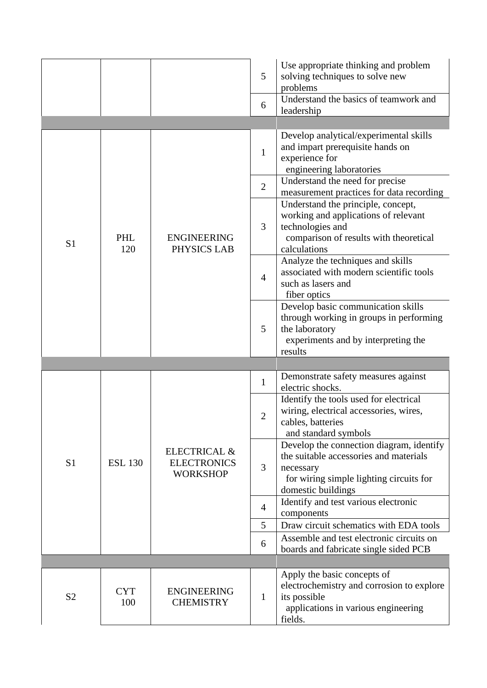|                |                   |                                                                  | 5<br>6                         | Use appropriate thinking and problem<br>solving techniques to solve new<br>problems<br>Understand the basics of teamwork and<br>leadership                                                                                                                                            |
|----------------|-------------------|------------------------------------------------------------------|--------------------------------|---------------------------------------------------------------------------------------------------------------------------------------------------------------------------------------------------------------------------------------------------------------------------------------|
|                |                   |                                                                  | $\mathbf{1}$<br>$\overline{2}$ | Develop analytical/experimental skills<br>and impart prerequisite hands on<br>experience for<br>engineering laboratories<br>Understand the need for precise<br>measurement practices for data recording<br>Understand the principle, concept,<br>working and applications of relevant |
| S <sub>1</sub> | PHL<br>120        | <b>ENGINEERING</b><br>PHYSICS LAB                                | 3                              | technologies and<br>comparison of results with theoretical<br>calculations                                                                                                                                                                                                            |
|                |                   |                                                                  | $\overline{4}$                 | Analyze the techniques and skills<br>associated with modern scientific tools<br>such as lasers and<br>fiber optics                                                                                                                                                                    |
|                |                   |                                                                  | 5                              | Develop basic communication skills<br>through working in groups in performing<br>the laboratory<br>experiments and by interpreting the<br>results                                                                                                                                     |
|                |                   |                                                                  |                                |                                                                                                                                                                                                                                                                                       |
|                | <b>ESL 130</b>    | <b>ELECTRICAL &amp;</b><br><b>ELECTRONICS</b><br><b>WORKSHOP</b> | $\mathbf{1}$                   | Demonstrate safety measures against<br>electric shocks.                                                                                                                                                                                                                               |
|                |                   |                                                                  | $\mathfrak{2}$                 | Identify the tools used for electrical<br>wiring, electrical accessories, wires,<br>cables, batteries<br>and standard symbols                                                                                                                                                         |
| S <sub>1</sub> |                   |                                                                  | 3                              | Develop the connection diagram, identify<br>the suitable accessories and materials<br>necessary<br>for wiring simple lighting circuits for<br>domestic buildings                                                                                                                      |
|                |                   |                                                                  | $\overline{4}$                 | Identify and test various electronic<br>components                                                                                                                                                                                                                                    |
|                |                   |                                                                  | 5                              | Draw circuit schematics with EDA tools                                                                                                                                                                                                                                                |
|                |                   |                                                                  | 6                              | Assemble and test electronic circuits on<br>boards and fabricate single sided PCB                                                                                                                                                                                                     |
|                |                   |                                                                  |                                |                                                                                                                                                                                                                                                                                       |
| S <sub>2</sub> | <b>CYT</b><br>100 | <b>ENGINEERING</b><br><b>CHEMISTRY</b>                           | 1                              | Apply the basic concepts of<br>electrochemistry and corrosion to explore<br>its possible<br>applications in various engineering<br>fields.                                                                                                                                            |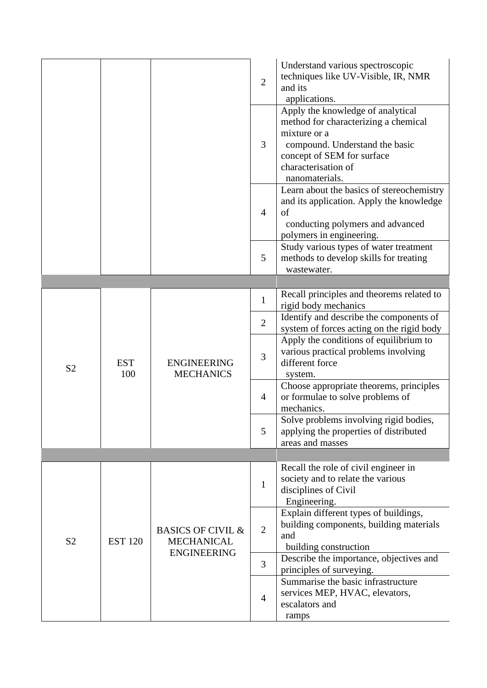|                |                   |                                                   | $\overline{2}$ | Understand various spectroscopic<br>techniques like UV-Visible, IR, NMR<br>and its<br>applications.                                                                                                |
|----------------|-------------------|---------------------------------------------------|----------------|----------------------------------------------------------------------------------------------------------------------------------------------------------------------------------------------------|
|                |                   |                                                   | 3              | Apply the knowledge of analytical<br>method for characterizing a chemical<br>mixture or a<br>compound. Understand the basic<br>concept of SEM for surface<br>characterisation of<br>nanomaterials. |
|                |                   |                                                   | $\overline{4}$ | Learn about the basics of stereochemistry<br>and its application. Apply the knowledge<br>of<br>conducting polymers and advanced<br>polymers in engineering.                                        |
|                |                   |                                                   | 5              | Study various types of water treatment<br>methods to develop skills for treating<br>wastewater.                                                                                                    |
|                |                   |                                                   |                |                                                                                                                                                                                                    |
|                | <b>EST</b><br>100 | <b>ENGINEERING</b><br><b>MECHANICS</b>            | $\mathbf{1}$   | Recall principles and theorems related to<br>rigid body mechanics                                                                                                                                  |
|                |                   |                                                   | $\overline{2}$ | Identify and describe the components of<br>system of forces acting on the rigid body                                                                                                               |
| S <sub>2</sub> |                   |                                                   | 3              | Apply the conditions of equilibrium to<br>various practical problems involving<br>different force<br>system.                                                                                       |
|                |                   |                                                   | $\overline{4}$ | Choose appropriate theorems, principles<br>or formulae to solve problems of<br>mechanics.                                                                                                          |
|                |                   |                                                   | 5              | Solve problems involving rigid bodies,<br>applying the properties of distributed<br>areas and masses                                                                                               |
|                |                   |                                                   |                |                                                                                                                                                                                                    |
|                |                   |                                                   | $\mathbf{1}$   | Recall the role of civil engineer in<br>society and to relate the various<br>disciplines of Civil<br>Engineering.                                                                                  |
| S <sub>2</sub> | <b>EST 120</b>    | <b>BASICS OF CIVIL &amp;</b><br><b>MECHANICAL</b> | $\overline{2}$ | Explain different types of buildings,<br>building components, building materials<br>and<br>building construction                                                                                   |
|                |                   | <b>ENGINEERING</b>                                | 3              | Describe the importance, objectives and<br>principles of surveying.                                                                                                                                |
|                |                   |                                                   | $\overline{4}$ | Summarise the basic infrastructure<br>services MEP, HVAC, elevators,<br>escalators and<br>ramps                                                                                                    |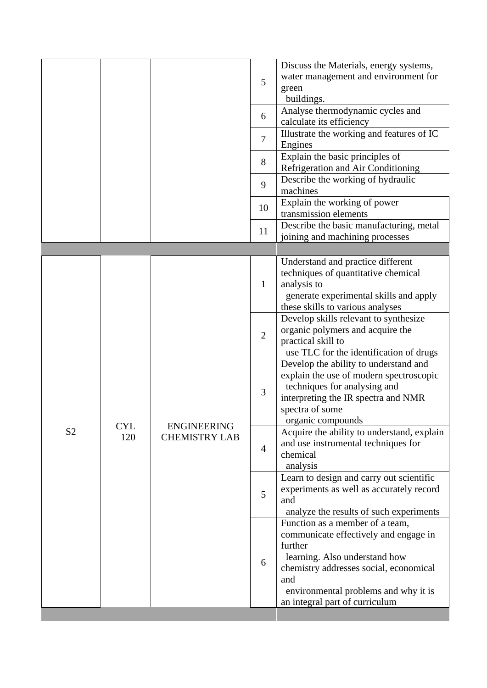|                |                   |                                            | 5<br>6          | Discuss the Materials, energy systems,<br>water management and environment for<br>green<br>buildings.<br>Analyse thermodynamic cycles and                                                                                                       |
|----------------|-------------------|--------------------------------------------|-----------------|-------------------------------------------------------------------------------------------------------------------------------------------------------------------------------------------------------------------------------------------------|
|                |                   |                                            | $7\phantom{.0}$ | calculate its efficiency<br>Illustrate the working and features of IC<br>Engines                                                                                                                                                                |
|                |                   |                                            | 8               | Explain the basic principles of<br>Refrigeration and Air Conditioning                                                                                                                                                                           |
|                |                   |                                            | 9               | Describe the working of hydraulic<br>machines                                                                                                                                                                                                   |
|                |                   |                                            | 10              | Explain the working of power<br>transmission elements                                                                                                                                                                                           |
|                |                   |                                            | 11              | Describe the basic manufacturing, metal<br>joining and machining processes                                                                                                                                                                      |
|                |                   |                                            |                 |                                                                                                                                                                                                                                                 |
|                |                   |                                            | $\mathbf{1}$    | Understand and practice different<br>techniques of quantitative chemical<br>analysis to<br>generate experimental skills and apply<br>these skills to various analyses                                                                           |
|                |                   | <b>ENGINEERING</b><br><b>CHEMISTRY LAB</b> | $\overline{2}$  | Develop skills relevant to synthesize<br>organic polymers and acquire the<br>practical skill to<br>use TLC for the identification of drugs                                                                                                      |
|                |                   |                                            | 3               | Develop the ability to understand and<br>explain the use of modern spectroscopic<br>techniques for analysing and<br>interpreting the IR spectra and NMR<br>spectra of some<br>organic compounds                                                 |
| S <sub>2</sub> | <b>CYL</b><br>120 |                                            | $\overline{4}$  | Acquire the ability to understand, explain<br>and use instrumental techniques for<br>chemical<br>analysis                                                                                                                                       |
|                |                   |                                            | 5               | Learn to design and carry out scientific<br>experiments as well as accurately record<br>and<br>analyze the results of such experiments                                                                                                          |
|                |                   |                                            | 6               | Function as a member of a team,<br>communicate effectively and engage in<br>further<br>learning. Also understand how<br>chemistry addresses social, economical<br>and<br>environmental problems and why it is<br>an integral part of curriculum |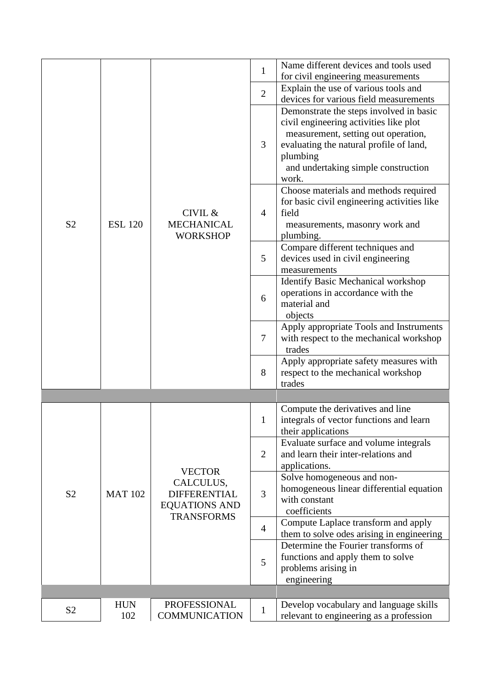|                |                   |                                                                                                | $\mathbf{1}$   | Name different devices and tools used<br>for civil engineering measurements                                                                                                                                                     |
|----------------|-------------------|------------------------------------------------------------------------------------------------|----------------|---------------------------------------------------------------------------------------------------------------------------------------------------------------------------------------------------------------------------------|
|                |                   |                                                                                                | $\overline{2}$ | Explain the use of various tools and<br>devices for various field measurements                                                                                                                                                  |
|                |                   |                                                                                                | 3              | Demonstrate the steps involved in basic<br>civil engineering activities like plot<br>measurement, setting out operation,<br>evaluating the natural profile of land,<br>plumbing<br>and undertaking simple construction<br>work. |
| S <sub>2</sub> | <b>ESL 120</b>    | CIVIL &<br><b>MECHANICAL</b><br><b>WORKSHOP</b>                                                | $\overline{4}$ | Choose materials and methods required<br>for basic civil engineering activities like<br>field<br>measurements, masonry work and<br>plumbing.                                                                                    |
|                |                   |                                                                                                | 5              | Compare different techniques and<br>devices used in civil engineering<br>measurements                                                                                                                                           |
|                |                   |                                                                                                | 6              | <b>Identify Basic Mechanical workshop</b><br>operations in accordance with the<br>material and<br>objects                                                                                                                       |
|                |                   |                                                                                                | $\overline{7}$ | Apply appropriate Tools and Instruments<br>with respect to the mechanical workshop<br>trades                                                                                                                                    |
|                |                   |                                                                                                | 8              | Apply appropriate safety measures with<br>respect to the mechanical workshop<br>trades                                                                                                                                          |
|                |                   |                                                                                                |                |                                                                                                                                                                                                                                 |
|                |                   |                                                                                                | $\mathbf{1}$   | Compute the derivatives and line<br>integrals of vector functions and learn<br>their applications                                                                                                                               |
|                | <b>MAT 102</b>    | <b>VECTOR</b><br>CALCULUS,<br><b>DIFFERENTIAL</b><br><b>EQUATIONS AND</b><br><b>TRANSFORMS</b> | $\overline{2}$ | Evaluate surface and volume integrals<br>and learn their inter-relations and<br>applications.                                                                                                                                   |
| S <sub>2</sub> |                   |                                                                                                | 3              | Solve homogeneous and non-<br>homogeneous linear differential equation<br>with constant<br>coefficients                                                                                                                         |
|                |                   |                                                                                                | $\overline{4}$ | Compute Laplace transform and apply<br>them to solve odes arising in engineering                                                                                                                                                |
|                |                   |                                                                                                | 5              | Determine the Fourier transforms of<br>functions and apply them to solve<br>problems arising in<br>engineering                                                                                                                  |
|                |                   |                                                                                                |                |                                                                                                                                                                                                                                 |
| S <sub>2</sub> | <b>HUN</b><br>102 | PROFESSIONAL<br><b>COMMUNICATION</b>                                                           | $\mathbf{1}$   | Develop vocabulary and language skills<br>relevant to engineering as a profession                                                                                                                                               |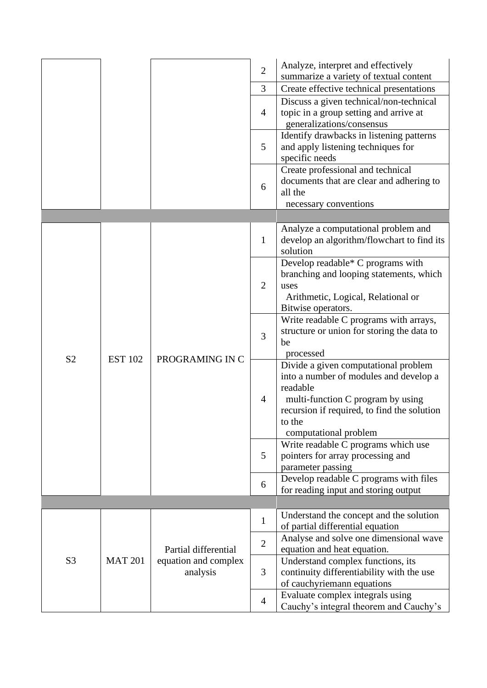|                |                |                                  | $\overline{2}$<br>$\overline{3}$<br>$\overline{4}$<br>5<br>6                   | Analyze, interpret and effectively<br>summarize a variety of textual content<br>Create effective technical presentations<br>Discuss a given technical/non-technical<br>topic in a group setting and arrive at<br>generalizations/consensus<br>Identify drawbacks in listening patterns<br>and apply listening techniques for<br>specific needs<br>Create professional and technical<br>documents that are clear and adhering to<br>all the |
|----------------|----------------|----------------------------------|--------------------------------------------------------------------------------|--------------------------------------------------------------------------------------------------------------------------------------------------------------------------------------------------------------------------------------------------------------------------------------------------------------------------------------------------------------------------------------------------------------------------------------------|
|                |                |                                  |                                                                                | necessary conventions                                                                                                                                                                                                                                                                                                                                                                                                                      |
|                |                |                                  | $\mathbf{1}$                                                                   | Analyze a computational problem and<br>develop an algorithm/flowchart to find its<br>solution                                                                                                                                                                                                                                                                                                                                              |
|                | <b>EST 102</b> | PROGRAMING IN C                  | $\overline{2}$                                                                 | Develop readable* C programs with<br>branching and looping statements, which<br>uses<br>Arithmetic, Logical, Relational or<br>Bitwise operators.                                                                                                                                                                                                                                                                                           |
|                |                |                                  | 3                                                                              | Write readable C programs with arrays,<br>structure or union for storing the data to<br>be<br>processed                                                                                                                                                                                                                                                                                                                                    |
| S <sub>2</sub> |                |                                  | $\overline{4}$                                                                 | Divide a given computational problem<br>into a number of modules and develop a<br>readable<br>multi-function C program by using<br>recursion if required, to find the solution<br>to the<br>computational problem                                                                                                                                                                                                                          |
|                |                |                                  | 5                                                                              | Write readable C programs which use<br>pointers for array processing and<br>parameter passing                                                                                                                                                                                                                                                                                                                                              |
|                |                | 6                                | Develop readable C programs with files<br>for reading input and storing output |                                                                                                                                                                                                                                                                                                                                                                                                                                            |
|                |                |                                  |                                                                                |                                                                                                                                                                                                                                                                                                                                                                                                                                            |
| S <sub>3</sub> |                |                                  | $\mathbf{1}$                                                                   | Understand the concept and the solution<br>of partial differential equation                                                                                                                                                                                                                                                                                                                                                                |
|                |                | Partial differential             | $\overline{2}$                                                                 | Analyse and solve one dimensional wave<br>equation and heat equation.                                                                                                                                                                                                                                                                                                                                                                      |
|                | <b>MAT 201</b> | equation and complex<br>analysis | 3                                                                              | Understand complex functions, its<br>continuity differentiability with the use<br>of cauchyriemann equations                                                                                                                                                                                                                                                                                                                               |
|                |                |                                  | $\overline{4}$                                                                 | Evaluate complex integrals using<br>Cauchy's integral theorem and Cauchy's                                                                                                                                                                                                                                                                                                                                                                 |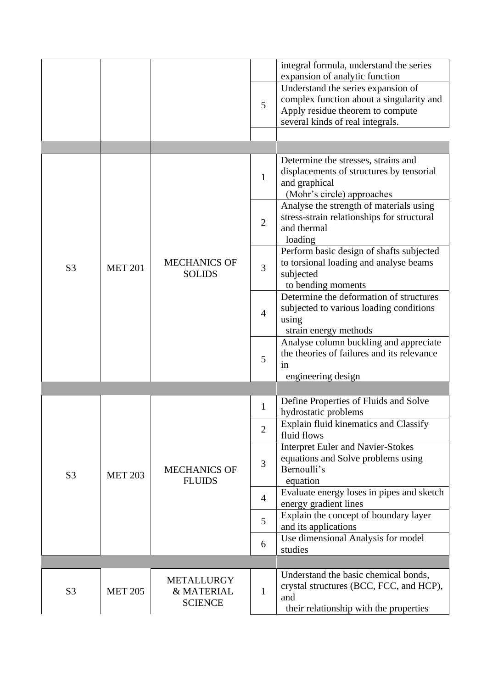|                |                |                                                   |                | integral formula, understand the series<br>expansion of analytic function                                                                              |
|----------------|----------------|---------------------------------------------------|----------------|--------------------------------------------------------------------------------------------------------------------------------------------------------|
|                |                |                                                   | 5              | Understand the series expansion of<br>complex function about a singularity and<br>Apply residue theorem to compute<br>several kinds of real integrals. |
|                |                |                                                   |                |                                                                                                                                                        |
|                |                |                                                   | $\mathbf{1}$   | Determine the stresses, strains and<br>displacements of structures by tensorial<br>and graphical<br>(Mohr's circle) approaches                         |
|                |                |                                                   | $\overline{2}$ | Analyse the strength of materials using<br>stress-strain relationships for structural<br>and thermal<br>loading                                        |
| S <sub>3</sub> | <b>MET 201</b> | <b>MECHANICS OF</b><br><b>SOLIDS</b>              | 3              | Perform basic design of shafts subjected<br>to torsional loading and analyse beams<br>subjected<br>to bending moments                                  |
|                |                |                                                   | $\overline{4}$ | Determine the deformation of structures<br>subjected to various loading conditions<br>using<br>strain energy methods                                   |
|                |                |                                                   | 5              | Analyse column buckling and appreciate<br>the theories of failures and its relevance<br>in<br>engineering design                                       |
|                |                |                                                   |                |                                                                                                                                                        |
|                | <b>MET 203</b> | <b>MECHANICS OF</b><br><b>FLUIDS</b>              | $\mathbf{1}$   | Define Properties of Fluids and Solve<br>hydrostatic problems                                                                                          |
|                |                |                                                   | $\overline{2}$ | Explain fluid kinematics and Classify<br>fluid flows                                                                                                   |
| S <sub>3</sub> |                |                                                   | 3              | <b>Interpret Euler and Navier-Stokes</b><br>equations and Solve problems using<br>Bernoulli's<br>equation                                              |
|                |                |                                                   | $\overline{4}$ | Evaluate energy loses in pipes and sketch<br>energy gradient lines                                                                                     |
|                |                |                                                   | 5              | Explain the concept of boundary layer<br>and its applications                                                                                          |
|                |                |                                                   | 6              | Use dimensional Analysis for model<br>studies                                                                                                          |
|                |                |                                                   |                |                                                                                                                                                        |
| S <sub>3</sub> | <b>MET 205</b> | <b>METALLURGY</b><br>& MATERIAL<br><b>SCIENCE</b> | $\mathbf{1}$   | Understand the basic chemical bonds,<br>crystal structures (BCC, FCC, and HCP),<br>and<br>their relationship with the properties                       |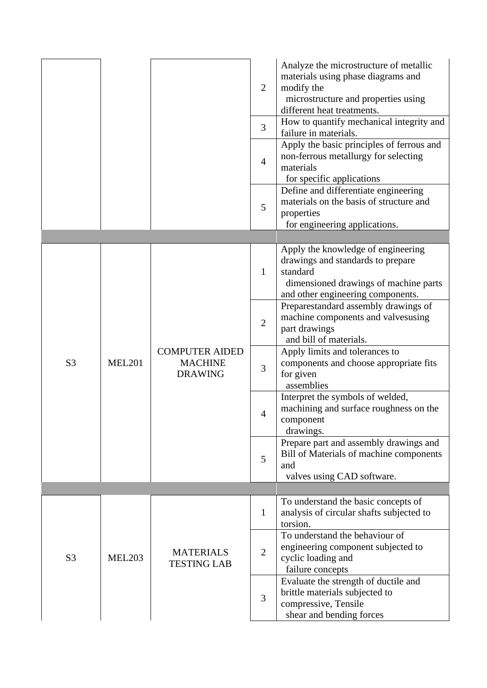|                |               |                                                           | $\overline{2}$<br>3<br>$\overline{4}$<br>5 | Analyze the microstructure of metallic<br>materials using phase diagrams and<br>modify the<br>microstructure and properties using<br>different heat treatments.<br>How to quantify mechanical integrity and<br>failure in materials.<br>Apply the basic principles of ferrous and<br>non-ferrous metallurgy for selecting<br>materials<br>for specific applications<br>Define and differentiate engineering<br>materials on the basis of structure and<br>properties |
|----------------|---------------|-----------------------------------------------------------|--------------------------------------------|----------------------------------------------------------------------------------------------------------------------------------------------------------------------------------------------------------------------------------------------------------------------------------------------------------------------------------------------------------------------------------------------------------------------------------------------------------------------|
|                |               |                                                           |                                            | for engineering applications.                                                                                                                                                                                                                                                                                                                                                                                                                                        |
|                |               |                                                           |                                            | Apply the knowledge of engineering                                                                                                                                                                                                                                                                                                                                                                                                                                   |
|                |               | <b>COMPUTER AIDED</b><br><b>MACHINE</b><br><b>DRAWING</b> | $\mathbf{1}$                               | drawings and standards to prepare<br>standard<br>dimensioned drawings of machine parts<br>and other engineering components.                                                                                                                                                                                                                                                                                                                                          |
|                | <b>MEL201</b> |                                                           | $\overline{2}$                             | Preparestandard assembly drawings of<br>machine components and valvesusing<br>part drawings<br>and bill of materials.                                                                                                                                                                                                                                                                                                                                                |
| S <sub>3</sub> |               |                                                           | 3                                          | Apply limits and tolerances to<br>components and choose appropriate fits<br>for given<br>assemblies                                                                                                                                                                                                                                                                                                                                                                  |
|                |               |                                                           | $\overline{4}$                             | Interpret the symbols of welded,<br>machining and surface roughness on the<br>component<br>drawings.                                                                                                                                                                                                                                                                                                                                                                 |
|                |               |                                                           | 5                                          | Prepare part and assembly drawings and<br>Bill of Materials of machine components<br>and<br>valves using CAD software.                                                                                                                                                                                                                                                                                                                                               |
|                |               |                                                           |                                            |                                                                                                                                                                                                                                                                                                                                                                                                                                                                      |
|                |               |                                                           | $\mathbf{1}$                               | To understand the basic concepts of<br>analysis of circular shafts subjected to<br>torsion.                                                                                                                                                                                                                                                                                                                                                                          |
| S <sub>3</sub> | <b>MEL203</b> | <b>MATERIALS</b><br><b>TESTING LAB</b>                    | $\overline{2}$                             | To understand the behaviour of<br>engineering component subjected to<br>cyclic loading and<br>failure concepts                                                                                                                                                                                                                                                                                                                                                       |
|                |               |                                                           | 3                                          | Evaluate the strength of ductile and<br>brittle materials subjected to<br>compressive, Tensile<br>shear and bending forces                                                                                                                                                                                                                                                                                                                                           |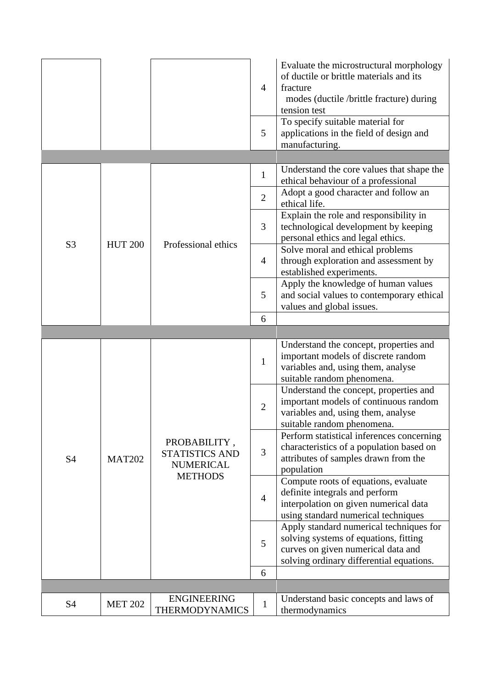|                |                |                                                                             | $\overline{4}$<br>5 | Evaluate the microstructural morphology<br>of ductile or brittle materials and its<br>fracture<br>modes (ductile /brittle fracture) during<br>tension test<br>To specify suitable material for<br>applications in the field of design and<br>manufacturing. |
|----------------|----------------|-----------------------------------------------------------------------------|---------------------|-------------------------------------------------------------------------------------------------------------------------------------------------------------------------------------------------------------------------------------------------------------|
|                |                |                                                                             | $\mathbf{1}$        | Understand the core values that shape the                                                                                                                                                                                                                   |
|                |                |                                                                             |                     | ethical behaviour of a professional                                                                                                                                                                                                                         |
|                |                |                                                                             | $\overline{2}$      | Adopt a good character and follow an<br>ethical life.                                                                                                                                                                                                       |
| S <sub>3</sub> | <b>HUT 200</b> | Professional ethics                                                         | 3                   | Explain the role and responsibility in<br>technological development by keeping<br>personal ethics and legal ethics.                                                                                                                                         |
|                |                |                                                                             | $\overline{4}$      | Solve moral and ethical problems<br>through exploration and assessment by<br>established experiments.                                                                                                                                                       |
|                |                |                                                                             | 5                   | Apply the knowledge of human values<br>and social values to contemporary ethical<br>values and global issues.                                                                                                                                               |
|                |                |                                                                             | 6                   |                                                                                                                                                                                                                                                             |
|                |                |                                                                             |                     |                                                                                                                                                                                                                                                             |
|                |                |                                                                             | $\mathbf{1}$        | Understand the concept, properties and<br>important models of discrete random<br>variables and, using them, analyse<br>suitable random phenomena.                                                                                                           |
|                | <b>MAT202</b>  | PROBABILITY,<br><b>STATISTICS AND</b><br><b>NUMERICAL</b><br><b>METHODS</b> | $\overline{2}$      | Understand the concept, properties and<br>important models of continuous random<br>variables and, using them, analyse<br>suitable random phenomena.                                                                                                         |
| <b>S4</b>      |                |                                                                             | 3                   | Perform statistical inferences concerning<br>characteristics of a population based on<br>attributes of samples drawn from the<br>population                                                                                                                 |
|                |                |                                                                             | $\overline{4}$      | Compute roots of equations, evaluate<br>definite integrals and perform<br>interpolation on given numerical data<br>using standard numerical techniques                                                                                                      |
|                |                |                                                                             | 5                   | Apply standard numerical techniques for<br>solving systems of equations, fitting<br>curves on given numerical data and<br>solving ordinary differential equations.                                                                                          |
|                |                |                                                                             | 6                   |                                                                                                                                                                                                                                                             |
|                |                |                                                                             |                     |                                                                                                                                                                                                                                                             |
|                |                | <b>ENGINEERING</b>                                                          |                     | Understand basic concepts and laws of                                                                                                                                                                                                                       |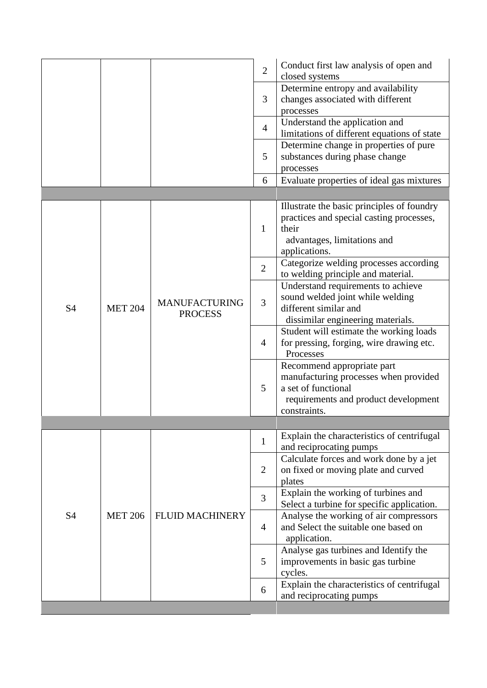| Determine entropy and availability<br>changes associated with different<br>3<br>processes<br>Understand the application and<br>$\overline{4}$<br>limitations of different equations of state<br>Determine change in properties of pure<br>substances during phase change<br>5<br>processes<br>Evaluate properties of ideal gas mixtures<br>6<br>Illustrate the basic principles of foundry<br>practices and special casting processes,<br>$\mathbf{1}$<br>their<br>advantages, limitations and<br>applications.<br>Categorize welding processes according<br>$\overline{2}$<br>to welding principle and material.<br>Understand requirements to achieve<br>sound welded joint while welding<br>3<br><b>MANUFACTURING</b><br>different similar and<br><b>S4</b><br><b>MET 204</b><br><b>PROCESS</b><br>dissimilar engineering materials.<br>Student will estimate the working loads<br>for pressing, forging, wire drawing etc.<br>$\overline{4}$<br>Processes<br>Recommend appropriate part<br>manufacturing processes when provided<br>a set of functional<br>5<br>requirements and product development<br>constraints.<br>Explain the characteristics of centrifugal<br>$\mathbf{1}$<br>and reciprocating pumps<br>Calculate forces and work done by a jet<br>2<br>on fixed or moving plate and curved<br>plates<br>Explain the working of turbines and<br>$\overline{3}$<br>Select a turbine for specific application.<br>S4<br>Analyse the working of air compressors<br><b>MET 206</b><br>FLUID MACHINERY<br>and Select the suitable one based on<br>$\overline{4}$<br>application.<br>Analyse gas turbines and Identify the<br>5<br>improvements in basic gas turbine<br>cycles.<br>Explain the characteristics of centrifugal<br>6<br>and reciprocating pumps |  |  |  | $\overline{2}$ | Conduct first law analysis of open and<br>closed systems |  |
|----------------------------------------------------------------------------------------------------------------------------------------------------------------------------------------------------------------------------------------------------------------------------------------------------------------------------------------------------------------------------------------------------------------------------------------------------------------------------------------------------------------------------------------------------------------------------------------------------------------------------------------------------------------------------------------------------------------------------------------------------------------------------------------------------------------------------------------------------------------------------------------------------------------------------------------------------------------------------------------------------------------------------------------------------------------------------------------------------------------------------------------------------------------------------------------------------------------------------------------------------------------------------------------------------------------------------------------------------------------------------------------------------------------------------------------------------------------------------------------------------------------------------------------------------------------------------------------------------------------------------------------------------------------------------------------------------------------------------------------------------------------------|--|--|--|----------------|----------------------------------------------------------|--|
|                                                                                                                                                                                                                                                                                                                                                                                                                                                                                                                                                                                                                                                                                                                                                                                                                                                                                                                                                                                                                                                                                                                                                                                                                                                                                                                                                                                                                                                                                                                                                                                                                                                                                                                                                                      |  |  |  |                |                                                          |  |
|                                                                                                                                                                                                                                                                                                                                                                                                                                                                                                                                                                                                                                                                                                                                                                                                                                                                                                                                                                                                                                                                                                                                                                                                                                                                                                                                                                                                                                                                                                                                                                                                                                                                                                                                                                      |  |  |  |                |                                                          |  |
|                                                                                                                                                                                                                                                                                                                                                                                                                                                                                                                                                                                                                                                                                                                                                                                                                                                                                                                                                                                                                                                                                                                                                                                                                                                                                                                                                                                                                                                                                                                                                                                                                                                                                                                                                                      |  |  |  |                |                                                          |  |
|                                                                                                                                                                                                                                                                                                                                                                                                                                                                                                                                                                                                                                                                                                                                                                                                                                                                                                                                                                                                                                                                                                                                                                                                                                                                                                                                                                                                                                                                                                                                                                                                                                                                                                                                                                      |  |  |  |                |                                                          |  |
|                                                                                                                                                                                                                                                                                                                                                                                                                                                                                                                                                                                                                                                                                                                                                                                                                                                                                                                                                                                                                                                                                                                                                                                                                                                                                                                                                                                                                                                                                                                                                                                                                                                                                                                                                                      |  |  |  |                |                                                          |  |
|                                                                                                                                                                                                                                                                                                                                                                                                                                                                                                                                                                                                                                                                                                                                                                                                                                                                                                                                                                                                                                                                                                                                                                                                                                                                                                                                                                                                                                                                                                                                                                                                                                                                                                                                                                      |  |  |  |                |                                                          |  |
|                                                                                                                                                                                                                                                                                                                                                                                                                                                                                                                                                                                                                                                                                                                                                                                                                                                                                                                                                                                                                                                                                                                                                                                                                                                                                                                                                                                                                                                                                                                                                                                                                                                                                                                                                                      |  |  |  |                |                                                          |  |
|                                                                                                                                                                                                                                                                                                                                                                                                                                                                                                                                                                                                                                                                                                                                                                                                                                                                                                                                                                                                                                                                                                                                                                                                                                                                                                                                                                                                                                                                                                                                                                                                                                                                                                                                                                      |  |  |  |                |                                                          |  |
|                                                                                                                                                                                                                                                                                                                                                                                                                                                                                                                                                                                                                                                                                                                                                                                                                                                                                                                                                                                                                                                                                                                                                                                                                                                                                                                                                                                                                                                                                                                                                                                                                                                                                                                                                                      |  |  |  |                |                                                          |  |
|                                                                                                                                                                                                                                                                                                                                                                                                                                                                                                                                                                                                                                                                                                                                                                                                                                                                                                                                                                                                                                                                                                                                                                                                                                                                                                                                                                                                                                                                                                                                                                                                                                                                                                                                                                      |  |  |  |                |                                                          |  |
|                                                                                                                                                                                                                                                                                                                                                                                                                                                                                                                                                                                                                                                                                                                                                                                                                                                                                                                                                                                                                                                                                                                                                                                                                                                                                                                                                                                                                                                                                                                                                                                                                                                                                                                                                                      |  |  |  |                |                                                          |  |
|                                                                                                                                                                                                                                                                                                                                                                                                                                                                                                                                                                                                                                                                                                                                                                                                                                                                                                                                                                                                                                                                                                                                                                                                                                                                                                                                                                                                                                                                                                                                                                                                                                                                                                                                                                      |  |  |  |                |                                                          |  |
|                                                                                                                                                                                                                                                                                                                                                                                                                                                                                                                                                                                                                                                                                                                                                                                                                                                                                                                                                                                                                                                                                                                                                                                                                                                                                                                                                                                                                                                                                                                                                                                                                                                                                                                                                                      |  |  |  |                |                                                          |  |
|                                                                                                                                                                                                                                                                                                                                                                                                                                                                                                                                                                                                                                                                                                                                                                                                                                                                                                                                                                                                                                                                                                                                                                                                                                                                                                                                                                                                                                                                                                                                                                                                                                                                                                                                                                      |  |  |  |                |                                                          |  |
|                                                                                                                                                                                                                                                                                                                                                                                                                                                                                                                                                                                                                                                                                                                                                                                                                                                                                                                                                                                                                                                                                                                                                                                                                                                                                                                                                                                                                                                                                                                                                                                                                                                                                                                                                                      |  |  |  |                |                                                          |  |
|                                                                                                                                                                                                                                                                                                                                                                                                                                                                                                                                                                                                                                                                                                                                                                                                                                                                                                                                                                                                                                                                                                                                                                                                                                                                                                                                                                                                                                                                                                                                                                                                                                                                                                                                                                      |  |  |  |                |                                                          |  |
|                                                                                                                                                                                                                                                                                                                                                                                                                                                                                                                                                                                                                                                                                                                                                                                                                                                                                                                                                                                                                                                                                                                                                                                                                                                                                                                                                                                                                                                                                                                                                                                                                                                                                                                                                                      |  |  |  |                |                                                          |  |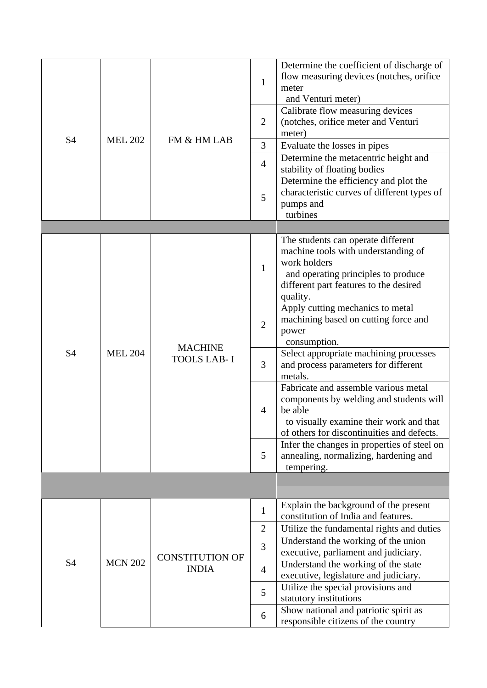| <b>S4</b> | <b>MEL 202</b> | FM & HM LAB                          | $\mathbf{1}$<br>$\overline{2}$<br>3<br>$\overline{4}$<br>5 | Determine the coefficient of discharge of<br>flow measuring devices (notches, orifice<br>meter<br>and Venturi meter)<br>Calibrate flow measuring devices<br>(notches, orifice meter and Venturi<br>meter)<br>Evaluate the losses in pipes<br>Determine the metacentric height and<br>stability of floating bodies<br>Determine the efficiency and plot the<br>characteristic curves of different types of<br>pumps and<br>turbines |
|-----------|----------------|--------------------------------------|------------------------------------------------------------|------------------------------------------------------------------------------------------------------------------------------------------------------------------------------------------------------------------------------------------------------------------------------------------------------------------------------------------------------------------------------------------------------------------------------------|
|           |                |                                      |                                                            |                                                                                                                                                                                                                                                                                                                                                                                                                                    |
|           |                | <b>MACHINE</b><br><b>TOOLS LAB-I</b> | $\mathbf{1}$                                               | The students can operate different<br>machine tools with understanding of<br>work holders<br>and operating principles to produce<br>different part features to the desired<br>quality.                                                                                                                                                                                                                                             |
|           | <b>MEL 204</b> |                                      | $\overline{2}$                                             | Apply cutting mechanics to metal<br>machining based on cutting force and<br>power<br>consumption.                                                                                                                                                                                                                                                                                                                                  |
| <b>S4</b> |                |                                      | 3                                                          | Select appropriate machining processes<br>and process parameters for different<br>metals.                                                                                                                                                                                                                                                                                                                                          |
|           |                |                                      | $\overline{4}$                                             | Fabricate and assemble various metal<br>components by welding and students will<br>be able<br>to visually examine their work and that<br>of others for discontinuities and defects.                                                                                                                                                                                                                                                |
|           |                |                                      | 5                                                          | Infer the changes in properties of steel on<br>annealing, normalizing, hardening and<br>tempering.                                                                                                                                                                                                                                                                                                                                 |
|           |                |                                      |                                                            |                                                                                                                                                                                                                                                                                                                                                                                                                                    |
|           |                |                                      | $\mathbf{1}$                                               | Explain the background of the present<br>constitution of India and features.                                                                                                                                                                                                                                                                                                                                                       |
|           |                |                                      | $\overline{2}$                                             | Utilize the fundamental rights and duties<br>Understand the working of the union                                                                                                                                                                                                                                                                                                                                                   |
| S4        | <b>MCN 202</b> | <b>CONSTITUTION OF</b>               | 3                                                          | executive, parliament and judiciary.                                                                                                                                                                                                                                                                                                                                                                                               |
|           |                | <b>INDIA</b>                         | $\overline{4}$                                             | Understand the working of the state<br>executive, legislature and judiciary.                                                                                                                                                                                                                                                                                                                                                       |
|           |                |                                      | 5                                                          | Utilize the special provisions and<br>statutory institutions                                                                                                                                                                                                                                                                                                                                                                       |
|           |                |                                      | 6                                                          | Show national and patriotic spirit as<br>responsible citizens of the country                                                                                                                                                                                                                                                                                                                                                       |